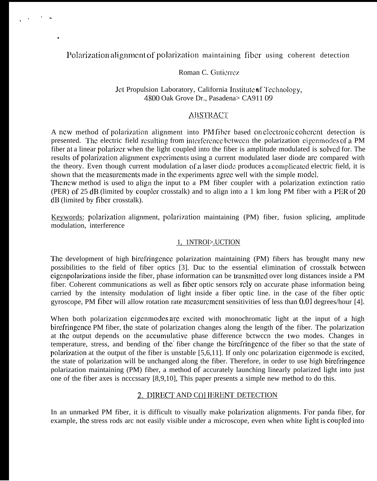# Polarization alignment of polarization maintaining fiber using coherent detection

.

# Roman C. Gutierrez

# Jet Propulsion Laboratory, California Institute of Technology, 4800 Oak Grove Dr., Pasadena> CA911 09

# $ABSTRACT$

A new method of polarization alignment into PM fiber based on electronic coherent detection is presented. The electric field resulting from interference between the polarization cigenmodes of a PM fiber at a linear polarizer when the light coupled into the fiber is amplitude modulated is solved for. The results of polarization alignment experiments using a current modulated laser diode are compared with the theory. Even though current modulation of a laser diode produces a complicated electric field, it is shown that the measurements made in the experiments agree well with the simple model.

The new method is used to align the input to a PM fiber coupler with a polarization extinction ratio (PER) of 25 dB (limited by coup]cr crosstalk) and to align into a 1 km long PM fiber with a PER of 20 dB (limited by fiber crosstalk).

Keywords: polarization alignment, polarization maintaining (PM) fiber, fusion splicing, amplitude modulation, interference

#### 1, 1NTROI>.UCTION

The development of high birefringcnce polarization maintaining (PM) fibers has brought many new possibilities to the field of fiber optics [3]. Duc to the essential elimination of crosstalk bctwccn eigenpolarizations inside the fiber, phase information can be transmitted over long distances inside a PM fiber. Coherent communications as well as fiber optic sensors rely on accurate phase information being carried by the intensity modulation of light inside a fiber optic line. in the case of the fiber optic gyroscope, PM fiber will allow rotation rate mcasurcmcnt sensitivities of less than 0.01 degrees/hour [4].

When both polarization eigenmodes are excited with monochromatic light at the input of a high birefringence PM fiber, the state of polarization changes along the length of the fiber. The polarization at the output depends on the accumulative phase difference bctwccn the two modes. Changes in temperature, stress, and bending of the' fiber change the birefringcnce of the fiber so that the state of polarization at the output of the fiber is unstable  $[5,6,11]$ . If only onc polarization eigenmode is excited, the state of polarization will be unchanged along the fiber. Therefore, in order to use high birefringence polarization maintaining (PM) fiber, a method of accurately launching linearly polarized light into just one of the fiber axes is ncccssary [8,9,10], This paper presents a simple new method to do this.

# 2. DIRECT AND C()] IERENT DETECTION

In an unmarked PM fiber, it is difficult to visually make polarization alignments. For panda fiber, for example, the stress rods arc not easily visible under a microscope, even when white light is coupled into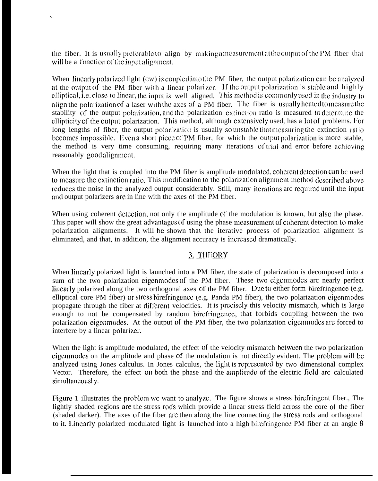the fiber. It is usually preferable to align by making ameasurement at the output of the PM fiber that will be a function of the input alignment.

When linearly polarized light (cw) is coupled into the PM fiber, the output polarization can be analyzed at the output of the PM fiber with a linear polarizer. If the output polarization is stable and highly elliptical, i.e. close to linear, the input is well aligned. This method is commonly used in the industry to align the polarization of a laser with the axes of a PM fiber. The fiber is usually heated to measure the stability of the output polarization, and the polarization extinction ratio is measured to determine the ellipticity of the output polarization. This method, although extensively used, has a lot of problems. For long lengths of fiber, the output polarization is usually so unstable that measuring the extinction ratio becomes impossible. Even a short piece of PM fiber, for which the output polarization is more stable, the method is very time consuming, requiring many iterations of trial and error before achieving reasonably good alignment.

When the light that is coupled into the PM fiber is amplitude modulated, coherent detection can be used to measure the extinction ratio. This modification to the polarization alignment method described above reduces the noise in the analyzed output considerably. Still, many iterations are required until the input and output polarizers are in line with the axes of the PM fiber.

When using coherent detection, not only the amplitude of the modulation is known, but also the phase. This paper will show the great advantages of using the phase measurement of coherent detection to make polarization alignments. It will be shown that the iterative process of polarization alignment is eliminated, and that, in addition, the alignment accuracy is increased dramatically.

# 3. THEORY

When linearly polarized light is launched into a PM fiber, the state of polarization is decomposed into a sum of the two polarization eigenmodes of the PM fiber. These two eigenmodes are nearly perfect linearly polarized along the two orthogonal axes of the PM fiber. Due to either form birefringence (e.g. elliptical core PM fiber) or stress birefringence (e.g. Panda PM fiber), the two polarization eigenmodes propagate through the fiber at different velocities. It is precisely this velocity mismatch, which is large enough to not be compensated by random birefringence, that forbids coupling between the two polarization eigenmodes. At the output of the PM fiber, the two polarization eigenmodes are forced to interfere by a linear polarizer.

When the light is amplitude modulated, the effect of the velocity mismatch between the two polarization eigenmodes on the amplitude and phase of the modulation is not directly evident. The problem will be analyzed using Jones calculus. In Jones calculus, the light is represented by two dimensional complex Vector. Therefore, the effect on both the phase and the amplitude of the electric field arc calculated simultaneously.

Figure 1 illustrates the problem we want to analyze. The figure shows a stress birefringent fiber., The lightly shaded regions are the stress rods which provide a linear stress field across the core of the fiber (shaded darker). The axes of the fiber arc then along the line connecting the stress rods and orthogonal to it. Linearly polarized modulated light is launched into a high birefringence PM fiber at an angle  $\theta$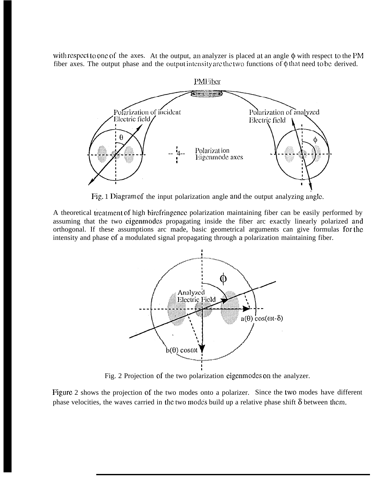with respect to one of the axes. At the output, an analyzer is placed at an angle  $\phi$  with respect to the PM fiber axes. The output phase and the output intensity are the two functions of  $\phi$  that need to be derived.



Fig. 1 Diagram of the input polarization angle and the output analyzing angle.

A theoretical treatment of high birefringence polarization maintaining fiber can be easily performed by assuming that the two eigcnmodcs propagating inside the fiber arc exactly linearly polarized and orthogonal. If these assumptions arc made, basic geometrical arguments can give formulas for ihc intensity and phase of a modulated signal propagating through a polarization maintaining fiber.



Fig. 2 Projection of the two polarization cigenmodes on the analyzer.

Figure 2 shows the projection of the two modes onto a polarizer. Since the two modes have different phase velocities, the waves carried in the two modes build up a relative phase shift  $\delta$  between them.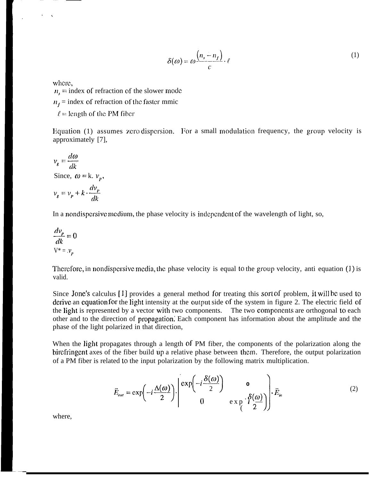$$
\delta(\omega) = \omega \frac{\left(n_s - n_f\right)}{c} \cdot \ell \tag{1}
$$

where,

 $n_{\rm s}$  = index of refraction of the slower mode  $n_f$  = index of refraction of the faster mmic

 $\ell$  = length of the PM fiber

Equation  $(1)$  assumes zero-dispersion. For a small modulation frequency, the group velocity is approximately [7],

$$
v_g = \frac{d\omega}{dk}
$$
  
Since,  $\omega = k$ .  $v_p$ ,  

$$
v_g = v_p + k \cdot \frac{dv_p}{dk}
$$

In a nondispersive medium, the phase velocity is independent of the wavelength of light, so,

$$
\frac{dv_p}{dk} = 0
$$
  

$$
V^* = v_p
$$

Therefore, in nondispersive media, the phase velocity is equal to the group velocity, anti equation  $(1)$  is valid.

Since Jone's calculus [1] provides a general method for treating this sort of problem, it will be used to derive an equation for the light intensity at the output side of the system in figure 2. The electric field of the light is represented by a vector with two components. The two components are orthogonal to each other and to the direction of propagatimi Each component has information about the amplitude and the phase of the light polarized in that direction,

When the light propagates through a length of PM fiber, the components of the polarization along the birefringent axes of the fiber build up a relative phase between them. Therefore, the output polarization of a PM fiber is related to the input polarization by the following matrix multiplication.

$$
\vec{E}_{out} = \exp\left(-i\frac{\Delta(\omega)}{2}\right) \cdot \begin{bmatrix} \exp\left(-i\frac{\delta(\omega)}{2}\right) & o \\ 0 & \exp\left(-i\frac{\delta(\omega)}{2}\right) \end{bmatrix} \cdot \vec{E}_{in} \tag{2}
$$

where,

—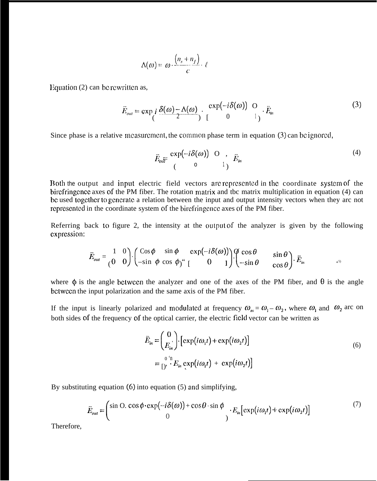$$
\Delta(\omega) = \omega \cdot \frac{(n_s + n_f)}{c} \cdot \ell
$$

Equation (2) can be rewritten as,

$$
\vec{E}_{out} = \exp_{\mathcal{C}} i \frac{\delta(\omega) - \Delta(\omega)}{2} \cdot \frac{\exp(-i\delta(\omega))}{1} \cdot \vec{E}_{in}
$$
 (3)

Since phase is a relative measurement, the common phase term in equation (3) can be ignored,

$$
\vec{E}_{\omega\overline{a}} \stackrel{\exp(-i\delta(\omega))}{\begin{array}{c} 0 \\ 0 \end{array}} \quad \begin{array}{c} 0 \\ 1 \end{array} \quad \quad \vec{E}_{in} \tag{4}
$$

Both the output and input electric field vectors are represented in the coordinate system of the birefringence axes of the PM fiber. The rotation matrix and tbc matrix multiplication in equation (4) can be used together to generate a relation between the input and output intensity vectors when they are not represented in the coordinate system of the birefringence axes of the PM fiber.

Referring back to figure 2, the intensity at the output of the analyzer is given by the following expression:

$$
\vec{E}_{out} = \begin{pmatrix} 1 & 0 \\ 0 & 0 \end{pmatrix} \cdot \begin{pmatrix} \cos \phi & \sin \phi & \cos(\phi - i\delta(\omega)) \\ -\sin \phi & \cos \phi \end{pmatrix} \cdot \begin{pmatrix} \phi & \cos \theta & \sin \theta \\ -\sin \theta & \cos \theta \end{pmatrix} \cdot \vec{E}_{in}
$$

where  $\phi$  is the angle between the analyzer and one of the axes of the PM fiber, and  $\theta$  is the angle between the input polarization and the same axis of the PM fiber.

If the input is linearly polarized and modulated at frequency  $\omega_m = \omega_1 - \omega_2$ , where  $\omega_1$  and  $\omega_2$  arc on both sides of the frequency of the optical carrier, the electric field vector can be written as

$$
\vec{E}_{in} = \begin{pmatrix} 0 \\ E_{in} \end{pmatrix} \cdot \left[ \exp(i\omega_1 t) + \exp(i\omega_2 t) \right]
$$
  
=  $\int_{0}^{0} \int_{0}^{h} E_{in} \exp(i\omega_1 t) + \exp(i\omega_2 t) \right]$  (6)

By substituting equation  $(6)$  into equation  $(5)$  and simplifying,

$$
\vec{E}_{out} = \begin{pmatrix} \sin \Theta & \cos \phi \cdot \exp(-i\delta(\omega)) + \cos \theta \cdot \sin \phi \\ 0 & \cos \phi \end{pmatrix} \cdot E_{in} \left[ \exp(i\omega_1 t) + \exp(i\omega_2 t) \right]
$$
(7)

Therefore,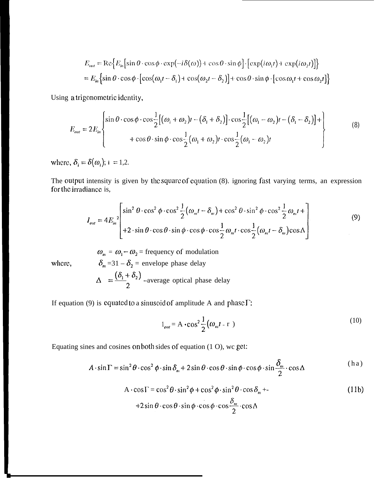$$
E_{out} = \text{Re}\Big\{E_{in}\Big[\sin\theta\cdot\cos\phi\cdot\exp(-i\delta(\omega)) + \cos\theta\cdot\sin\phi\Big]\cdot\Big[\exp(i\omega_1 t) + \exp(i\omega_2 t)\Big]\Big\}
$$
  
=  $E_{in}\Big\{\sin\theta\cdot\cos\phi\cdot\Big[\cos(\omega_1 t - \delta_1) + \cos(\omega_2 t - \delta_2)\Big] + \cos\theta\cdot\sin\phi\cdot\Big[\cos\omega_1 t + \cos\omega_2 t\Big]\Big\}$ 

Using a trigonometric identity,

$$
E_{out} = 2E_{in} \left\{ \begin{aligned} \sin \theta \cdot \cos \phi \cdot \cos \frac{1}{2} [(\omega_1 + \omega_2)t - (\delta_1 + \delta_2)] \cdot \cos \frac{1}{2} [(\omega_1 - \omega_2)t - (\delta_1 - \delta_2)] + \\ &+ \cos \theta \cdot \sin \phi \cdot \cos \frac{1}{2} (\omega_1 + \omega_2)t \cdot \cos \frac{1}{2} (\omega_1 - \omega_2)t \end{aligned} \right\}
$$
(8)

where,  $\delta_i = \delta(\omega_i)$ ;  $i = 1, 2$ .

The output intensity is given by the square of equation (8). ignoring fast varying terms, an expression for the irradiance is,

$$
I_{out} = 4E_{in} \left\{ \sin^2 \theta \cdot \cos^2 \phi \cdot \cos^2 \frac{1}{2} (\omega_m t - \delta_m) + \cos^2 \theta \cdot \sin^2 \phi \cdot \cos^2 \frac{1}{2} \omega_m t + \right\}
$$
  
+2 \cdot \sin \theta \cdot \cos \theta \cdot \sin \phi \cdot \cos \phi \cdot \cos \frac{1}{2} \omega\_m t \cdot \cos \frac{1}{2} (\omega\_m t - \delta\_m) \cos \Delta \right] (9)

where,

$$
\omega_m = \omega_1 - \omega_2
$$
 = frequency of modulation  
\n
$$
\delta_m = 31 - \delta_2
$$
 = envelope phase delay  
\n
$$
\Delta = \frac{(\delta_1 + \delta_2)}{2}
$$
 -average optical phase delay

If equation (9) is equated to a sinusoid of amplitude A and phase  $\Gamma$ :

$$
1_{out} = A \cdot \cos^2 \frac{1}{2} (\omega_m t - r)
$$
 (10)

Equating sines and cosines on both sides of equation (1 O), we get:

$$
A \cdot \sin \Gamma = \sin^2 \theta \cdot \cos^2 \phi \cdot \sin \delta_m + 2 \sin \theta \cdot \cos \theta \cdot \sin \phi \cdot \cos \phi \cdot \sin \frac{\delta_m}{2} \cdot \cos \Delta
$$
 (ha)

$$
A \cdot \cos \Gamma = \cos^2 \theta \cdot \sin^2 \phi + \cos^2 \phi \cdot \sin^2 \theta \cdot \cos \delta_m +
$$
  
+2 \sin \theta \cdot \cos \theta \cdot \sin \phi \cdot \cos \phi \cdot \cos \frac{\delta\_m}{2} \cdot \cos \Delta (11b)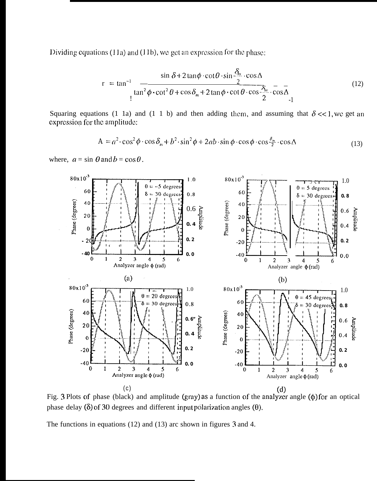Dividing equations (11a) and (11b), we get an expression for the phase:

$$
r = \tan^{-1} \frac{\sin \delta + 2 \tan \phi \cdot \cot \theta \cdot \sin \frac{\delta_m}{2} \cdot \cos \Delta}{\tan^2 \phi \cdot \cot^2 \theta + \cos \delta_m + 2 \tan \phi \cdot \cot \theta \cdot \cos \frac{\delta_m}{2} \cdot \frac{\cos \Delta}{\cos \Delta}} \tag{12}
$$

Squaring equations (1 1a) and (1 1 b) and then adding them, and assuming that  $\delta \ll 1$ , we get an expression for the amplitude:

$$
A = a^2 \cdot \cos^2 \phi \cdot \cos \delta_m + b^2 \cdot \sin^2 \phi + 2ab \cdot \sin \phi \cdot \cos \phi \cdot \cos \frac{\delta_m}{2} \cdot \cos \Lambda
$$
 (13)

where,  $a = \sin \theta$  and  $b = \cos \theta$ .



Fig. 3 Plots of phase (black) and amplitude (gray) as a function of the analyzer angle  $(\phi)$  for an optical phase delay ( $\delta$ ) of 30 degrees and different input polarization angles ( $\theta$ ).

The functions in equations  $(12)$  and  $(13)$  arc shown in figures 3 and 4.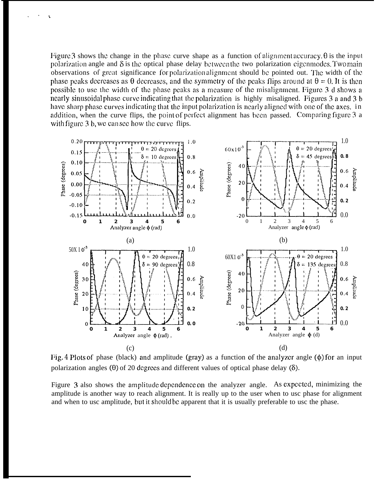Figure 3 shows the change in the phase curve shape as a function of alignment accuracy.  $\theta$  is the input polarization angle and  $\delta$  is the optical phase delay between the two polarization eigenmodes. Two main observations of great significance for polarization alignment should be pointed out. The width of the phase peaks decreases as  $\theta$  decreases, and the symmetry of the peaks flips around at  $\theta = 0$ . It is then possible to use the width of the phase peaks as a measure of the misalignment. Figure 3 d shows a nearly sinusoidal phase curve indicating that the polarization is highly misaligned. Figures 3 a and 3 b have sharp phase curves indicating that the input polarization is nearly aligned with one of the axes. in addition, when the curve flips, the point of perfect alignment has been passed. Comparing figure 3 a with figure 3 b, we can see how the curve flips.



Fig. 4 Plots of phase (black) and amplitude (gray) as a function of the analyzer angle  $(\phi)$  for an input polarization angles ( $\theta$ ) of 20 degrees and different values of optical phase delay ( $\delta$ ).

Figure 3 also shows the amplitude dependence on the analyzer angle. As expected, minimizing the amplitude is another way to reach alignment. It is really up to the user when to usc phase for alignment and when to usc amplitude, but it should be apparent that it is usually preferable to usc the phase.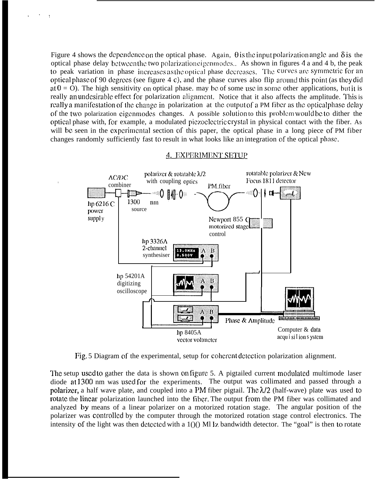Figure 4 shows the dependence on the optical phase. Again,  $\theta$  is the input polarization angle and  $\delta$  is the optical phase delay between the two polarization eigenmodes. As shown in figures 4 a and 4 b, the peak to peak variation in phase increases as the optical phase decreases. The curves are symmetric for an optical phase of 90 degrees (see figure 4 c), and the phase curves also flip around this point (as they did at  $\theta = 0$ ). The high sensitivity on optical phase, may be of some use in some other applications, but it is really an undesirable effect for polarization alignment. Notice that it also affects the amplitude. This is really a manifestation of the change in polarization at the output of a PM fiber as the optical phase delay of the two polarization cigenmodes changes. A possible solution to this problem would be to dither the optical phase with, for example, a modulated piczoelectric crystal in physical contact with the fiber. As will be seen in the experimental section of this paper, the optical phase in a long piece of PM fiber changes randomly sufficiently fast to result in what looks like an integration of the optical phase.



#### **EXPERIMENT SETUP**

Fig. 5 Diagram of the experimental, setup for coherent detection polarization alignment.

The setup used to gather the data is shown on figure 5. A pigtailed current modulated multimode laser diode at 1300 nm was used for the experiments. The output was collimated and passed through a polarizer, a half wave plate, and coupled into a PM fiber pigtail. The  $\lambda/2$  (half-wave) plate was used to rotate the linear polarization launched into the fiber. The output from the PM fiber was collimated and analyzed by means of a linear polarizer on a motorized rotation stage. The angular position of the polarizer was controlled by the computer through the motorized rotation stage control electronics. The intensity of the light was then detected with a  $1/1$  MI Iz bandwidth detector. The "goal" is then to rotate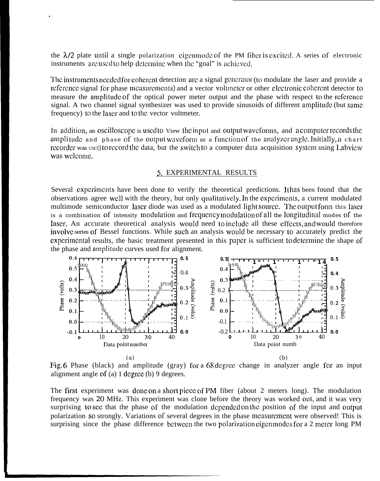the  $\lambda/2$  plate until a single polarization cigenmode of the PM fiber is excited. A series of electronic instruments arc used to help determine when the "goal" is achieved.

.

The instruments needed for coherent detection are a signal generator (to modulate the laser and provide a reference signal for phase measurements) and a vector voltmeter or other electronic coherent detector to measure the amplitude of the optical power meter output and the phase with respect to the reference signal. A two channel signal synthesizer was used to provide sinusoids of different amplitude (but same frequency) to the laser and to the vector voltmeter.

In addition, an oscilloscope is used to View the input and output waveforms, and a computer records the amplitude and phase of the output waveform as a function of the analyzer angle. Initially, a chart recorder was use() to record the data, but the switch to a computer data acquisition system using Labview was welcome.

#### j, EXPERIMENTAL RESULTS

Several experiments have been done to verify the theoretical predictions. It has been found that the observations agree well with the theory, but only qualitatively. In the experiments, a current modulated multimode semiconductor lascr diode was used as a modulated light source. The output form this laser is a combination of intensity modulation and frequency modulation of all the longitudinal modes of the laser. An accurate theoretical analysis would need to include all these effects, and would therefore involve series of Bessel functions. While such an analysis would be necessary to accurately predict the experimental results, the basic treatment presented in this paper is sufficient to determine the shape of the phase and amplitude curves used for alignment.



Fig. 6 Phase (black) and amplitude (gray) for a 68 degree change in analyzer angle for an input alignment angle of (a)  $1$  degree (b)  $9$  degrees.

The first experiment was done on a short piece of PM fiber (about 2 meters long). The modulation frequency was 20 MHz. This experiment was clone before the theory was worked out, and it was very surprising to see that the phase of the modulation depended on the position of the input and output polarization so strongly. Variations of several degrees in the phase mcasurcmcnt were observed! This is surprising since the phase difference between the two polarization eigenmodes for a 2 meter long PM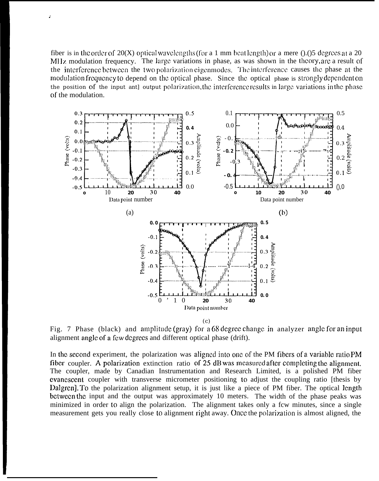fiber is in the order of  $20(X)$  optical wavelengths (for a 1 mm beat length) or a mere ().()5 degrees at a 20 MHz modulation frequency. The large variations in phase, as was shown in the theory, are a result of the interference between the two polarization eigenmodes. The interference causes the phase at the modulation frequency to depend on the optical phase. Since the optical phase is strongly dependent on the position of the input ant output polarization, the interference results in large variations in the phase of the modulation.

ż



 $(c)$ 

Fig. 7 Phase (black) and amplitude (gray) for a 68 degree change in analyzer angle for an input alignment angle of a few degrees and different optical phase (drift).

In the second experiment, the polarization was aligned into one of the PM fibers of a variable ratio PM fiber coupler. A polarization extinction ratio of 25 dB was measured after completing the alignment. The coupler, made by Canadian Instrumentation and Research Limited, is a polished PM fiber evanescent coupler with transverse micrometer positioning to adjust the coupling ratio [thesis by Dalgren]. To the polarization alignment setup, it is just like a piece of PM fiber. The optical length between the input and the output was approximately 10 meters. The width of the phase peaks was minimized in order to align the polarization. The alignment takes only a fcw minutes, since a single measurement gets you really close to alignment right away. Once the polarization is almost aligned, the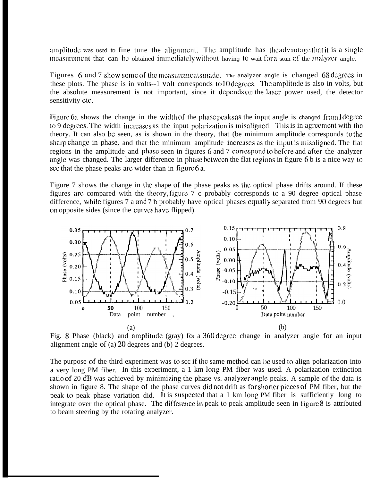amplitude was used to fine tune the alignment. The amplitude has the advantage that it is a single measurement that can be obtained immediately without having to wait for a scan of the analyzer angle.

Figures 6 and 7 show some of the measurements made. The analyzer angle is changed 68 degrees in these plots. The phase is in volts--1 volt corresponds to  $10$  degrees. The amplitude is also in volts, but the absolute measurement is not important, since it depends on the laser power used, the detector sensitivity ctc.

Figure 6a shows the change in the width of the phase peaks as the input angle is changed from 1 degree to 9 degrees. The width increases as the input polarization is misaligned. This is in agreement with the theory. It can also bc seen, as is shown in the theory, that (be minimum amplitude corresponds to tbe sharp change in phase, and that the minimum amplitude increases as the input is misaligned. The flat regions in the amplitude and phase seen in figures 6 and 7 correspond to before and after the analyzer angle was changed. The larger difference in phase between the flat regions in figure 6 b is a nice way to sce that the phase peaks are wider than in figure 6 a.

Figure 7 shows the change in the shape of the phase peaks as the optical phase drifts around. If these figures are compared with the theory, figure  $7c$  probably corresponds to a 90 degree optical phase difference, while figures 7 a and 7 b probably have optical phases cqually separated from 90 degrees but m opposite sides (since the curves bavc flipped).



Fig. 8 Phase (black) and amplitude (gray) for a  $360$  degree change in analyzer angle for an input alignment angle of (a) 20 degrees and (b) 2 degrees.

The purpose of the third experiment was to scc if the same method can bc used to align polarization into a very long PM fiber. In this experiment, a 1 km long PM fiber was used. A polarization extinction ratio of 20 dB was achieved by minimizing the phase vs. analyzer angle peaks. A sample of the data is shown in figure 8. The shape of the phase curves didnot drift as for shorter pieces of PM fiber, but the peak to peak phase variation did. It is suspected that a 1 km long PM fiber is sufficiently long to integrate over the optical phase. The difference in peak to peak amplitude seen in figure 8 is attributed to beam steering by the rotating analyzer.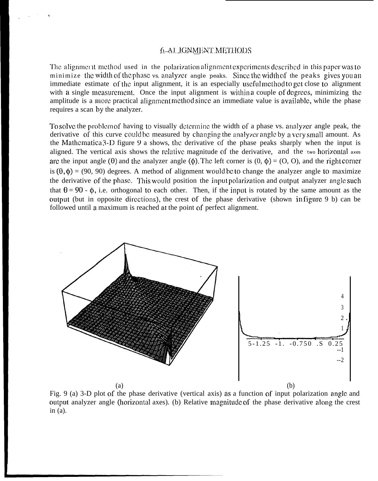#### **6-AL IGNMENT METHODS**

The alignment method used in the polarization alignment experiments described in this paper was to minimize the width of the phase vs. analyzer angle peaks. Since the width of the peaks gives you an immediate estimate of the input alignment, it is an especially useful method to get close to alignment with a single measurement. Once the input alignment is within a couple of degrees, minimizing the amplitude is a more practical alignment method since an immediate value is available, while the phase requires a scan by the analyzer.

To solve the problem of having to visually determine the width of a phase vs. analyzer angle peak, the derivative of this curve could be measured by changing the analyzer angle by a very small amount. As the Mathematica 3-D figure 9 a shows, the derivative of the phase peaks sharply when the input is aligned. The vertical axis shows the relative magnitude of the derivative, and the two horizontal axes are the input angle ( $\theta$ ) and the analyzer angle ( $\phi$ ). The left corner is (0,  $\phi$ ) = (O, O), and the right corner is  $(\theta, \phi) = (90, 90)$  degrees. A method of alignment would be to change the analyzer angle to maximize the derivative of the phase. This would position the input polarization and output analyzer angle such that  $\theta = 90 - \phi$ , i.e. orthogonal to each other. Then, if the input is rotated by the same amount as the output (but in opposite directions), the crest of the phase derivative (shown infigure 9 b) can be followed until a maximum is reached at the point of perfect alignment.



Fig. 9 (a) 3-D plot of the phase derivative (vertical axis) as a function of input polarization angle and output analyzer angle (horizontal axes). (b) Relative magnitude of the phase derivative along the crest in  $(a)$ .